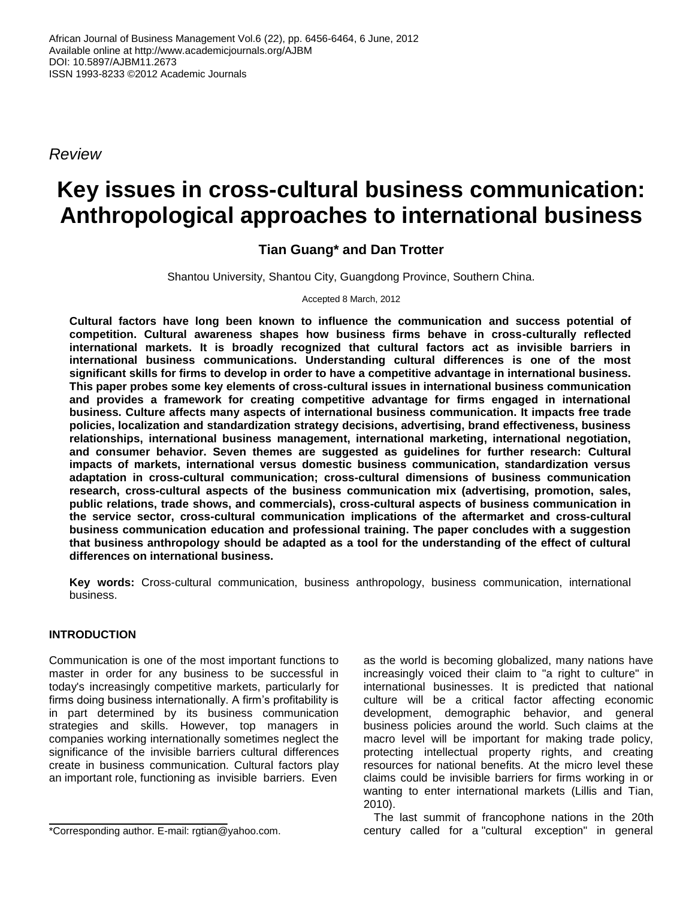*Review*

# **Key issues in cross-cultural business communication: Anthropological approaches to international business**

## **Tian Guang\* and Dan Trotter**

Shantou University, Shantou City, Guangdong Province, Southern China.

Accepted 8 March, 2012

**Cultural factors have long been known to influence the communication and success potential of competition. Cultural awareness shapes how business firms behave in cross-culturally reflected international markets. It is broadly recognized that cultural factors act as invisible barriers in international business communications. Understanding cultural differences is one of the most significant skills for firms to develop in order to have a competitive advantage in international business. This paper probes some key elements of cross-cultural issues in international business communication and provides a framework for creating competitive advantage for firms engaged in international business. Culture affects many aspects of international business communication. It impacts free trade policies, localization and standardization strategy decisions, advertising, brand effectiveness, business relationships, international business management, international marketing, international negotiation, and consumer behavior. Seven themes are suggested as guidelines for further research: Cultural impacts of markets, international versus domestic business communication, standardization versus adaptation in cross-cultural communication; cross-cultural dimensions of business communication research, cross-cultural aspects of the business communication mix (advertising, promotion, sales, public relations, trade shows, and commercials), cross-cultural aspects of business communication in the service sector, cross-cultural communication implications of the aftermarket and cross-cultural business communication education and professional training. The paper concludes with a suggestion that business anthropology should be adapted as a tool for the understanding of the effect of cultural differences on international business.**

**Key words:** Cross-cultural communication, business anthropology, business communication, international business.

### **INTRODUCTION**

Communication is one of the most important functions to master in order for any business to be successful in today's increasingly competitive markets, particularly for firms doing business internationally. A firm's profitability is in part determined by its business communication strategies and skills. However, top managers in companies working internationally sometimes neglect the significance of the invisible barriers cultural differences create in business communication. Cultural factors play an important role, functioning as invisible barriers. Even

as the world is becoming globalized, many nations have increasingly voiced their claim to "a right to culture" in international businesses. It is predicted that national culture will be a critical factor affecting economic development, demographic behavior, and general business policies around the world. Such claims at the macro level will be important for making trade policy, protecting intellectual property rights, and creating resources for national benefits. At the micro level these claims could be invisible barriers for firms working in or wanting to enter international markets (Lillis and Tian, 2010).

The last summit of francophone nations in the 20th century called for a "cultural exception" in general

<sup>\*</sup>Corresponding author. E-mail: rgtian@yahoo.com.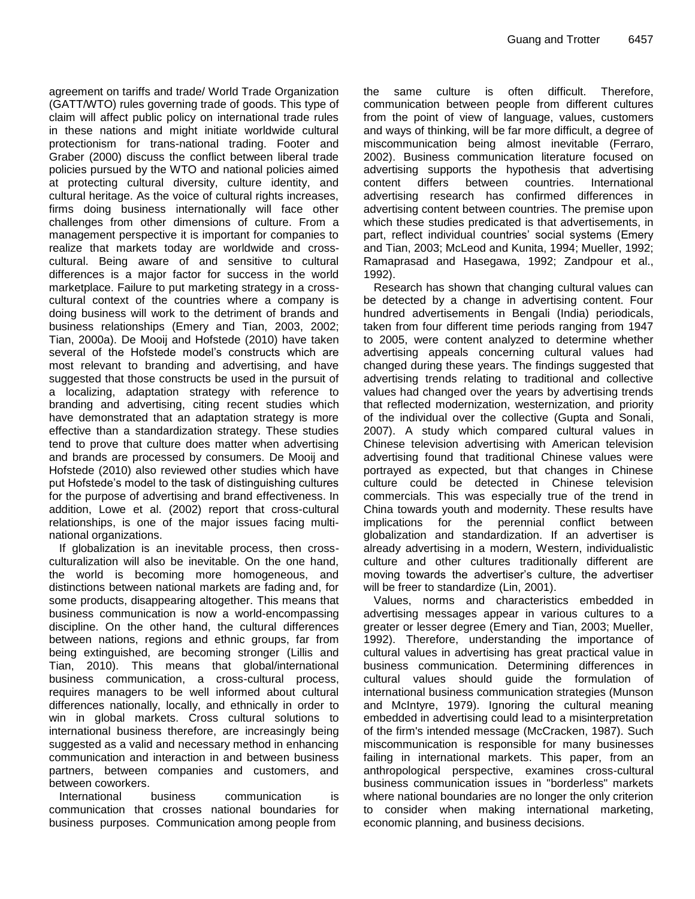agreement on tariffs and trade/ World Trade Organization (GATT/WTO) rules governing trade of goods. This type of claim will affect public policy on international trade rules in these nations and might initiate worldwide cultural protectionism for trans-national trading. Footer and Graber (2000) discuss the conflict between liberal trade policies pursued by the WTO and national policies aimed at protecting cultural diversity, culture identity, and cultural heritage. As the voice of cultural rights increases, firms doing business internationally will face other challenges from other dimensions of culture. From a management perspective it is important for companies to realize that markets today are worldwide and crosscultural. Being aware of and sensitive to cultural differences is a major factor for success in the world marketplace. Failure to put marketing strategy in a crosscultural context of the countries where a company is doing business will work to the detriment of brands and business relationships (Emery and Tian, 2003, 2002; Tian, 2000a). De Mooij and Hofstede (2010) have taken several of the Hofstede model's constructs which are most relevant to branding and advertising, and have suggested that those constructs be used in the pursuit of a localizing, adaptation strategy with reference to branding and advertising, citing recent studies which have demonstrated that an adaptation strategy is more effective than a standardization strategy. These studies tend to prove that culture does matter when advertising and brands are processed by consumers. De Mooij and Hofstede (2010) also reviewed other studies which have put Hofstede's model to the task of distinguishing cultures for the purpose of advertising and brand effectiveness. In addition, Lowe et al. (2002) report that cross-cultural relationships, is one of the major issues facing multinational organizations.

If globalization is an inevitable process, then crossculturalization will also be inevitable. On the one hand, the world is becoming more homogeneous, and distinctions between national markets are fading and, for some products, disappearing altogether. This means that business communication is now a world-encompassing discipline. On the other hand, the cultural differences between nations, regions and ethnic groups, far from being extinguished, are becoming stronger (Lillis and Tian, 2010). This means that global/international business communication, a cross-cultural process, requires managers to be well informed about cultural differences nationally, locally, and ethnically in order to win in global markets. Cross cultural solutions to international business therefore, are increasingly being suggested as a valid and necessary method in enhancing communication and interaction in and between business partners, between companies and customers, and between coworkers.

International business communication is communication that crosses national boundaries for business purposes. Communication among people from

the same culture is often difficult. Therefore, communication between people from different cultures from the point of view of language, values, customers and ways of thinking, will be far more difficult, a degree of miscommunication being almost inevitable (Ferraro, 2002). Business communication literature focused on advertising supports the hypothesis that advertising content differs between countries. International advertising research has confirmed differences in advertising content between countries. The premise upon which these studies predicated is that advertisements, in part, reflect individual countries' social systems (Emery and Tian, 2003; McLeod and Kunita, 1994; Mueller, 1992; Ramaprasad and Hasegawa, 1992; Zandpour et al., 1992).

Research has shown that changing cultural values can be detected by a change in advertising content. Four hundred advertisements in Bengali (India) periodicals, taken from four different time periods ranging from 1947 to 2005, were content analyzed to determine whether advertising appeals concerning cultural values had changed during these years. The findings suggested that advertising trends relating to traditional and collective values had changed over the years by advertising trends that reflected modernization, westernization, and priority of the individual over the collective (Gupta and Sonali, 2007). A study which compared cultural values in Chinese television advertising with American television advertising found that traditional Chinese values were portrayed as expected, but that changes in Chinese culture could be detected in Chinese television commercials. This was especially true of the trend in China towards youth and modernity. These results have implications for the perennial conflict between globalization and standardization. If an advertiser is already advertising in a modern, Western, individualistic culture and other cultures traditionally different are moving towards the advertiser's culture, the advertiser will be freer to standardize (Lin, 2001).

Values, norms and characteristics embedded in advertising messages appear in various cultures to a greater or lesser degree (Emery and Tian, 2003; Mueller, 1992). Therefore, understanding the importance of cultural values in advertising has great practical value in business communication. Determining differences in cultural values should guide the formulation of international business communication strategies (Munson and McIntyre, 1979). Ignoring the cultural meaning embedded in advertising could lead to a misinterpretation of the firm's intended message (McCracken, 1987). Such miscommunication is responsible for many businesses failing in international markets. This paper, from an anthropological perspective, examines cross-cultural business communication issues in "borderless" markets where national boundaries are no longer the only criterion to consider when making international marketing, economic planning, and business decisions.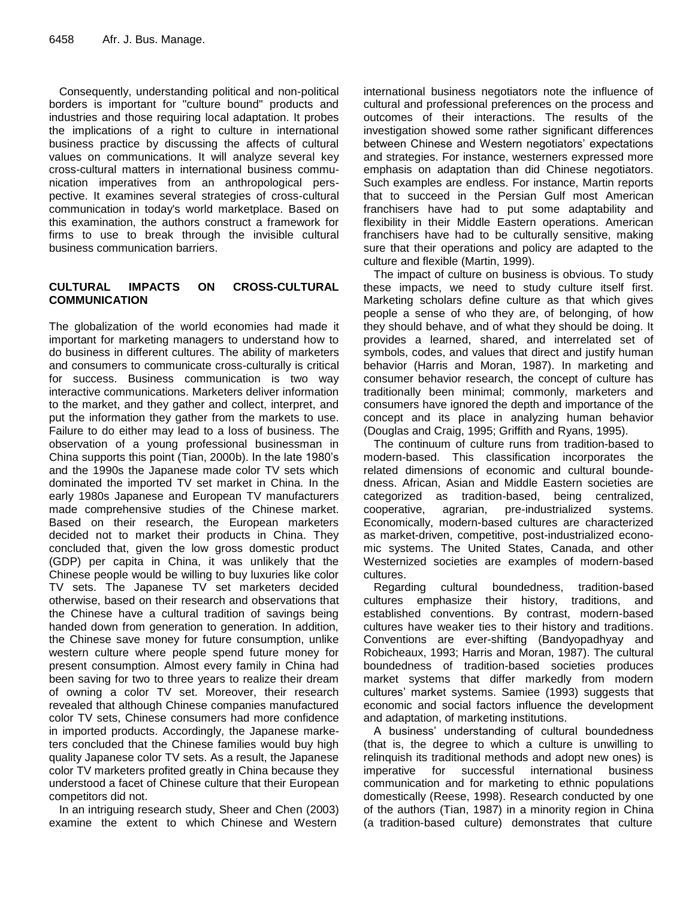Consequently, understanding political and non-political borders is important for "culture bound" products and industries and those requiring local adaptation. It probes the implications of a right to culture in international business practice by discussing the affects of cultural values on communications. It will analyze several key cross-cultural matters in international business communication imperatives from an anthropological perspective. It examines several strategies of cross-cultural communication in today's world marketplace. Based on this examination, the authors construct a framework for firms to use to break through the invisible cultural business communication barriers.

#### **CULTURAL IMPACTS ON CROSS-CULTURAL COMMUNICATION**

The globalization of the world economies had made it important for marketing managers to understand how to do business in different cultures. The ability of marketers and consumers to communicate cross-culturally is critical for success. Business communication is two way interactive communications. Marketers deliver information to the market, and they gather and collect, interpret, and put the information they gather from the markets to use. Failure to do either may lead to a loss of business. The observation of a young professional businessman in China supports this point (Tian, 2000b). In the late 1980's and the 1990s the Japanese made color TV sets which dominated the imported TV set market in China. In the early 1980s Japanese and European TV manufacturers made comprehensive studies of the Chinese market. Based on their research, the European marketers decided not to market their products in China. They concluded that, given the low gross domestic product (GDP) per capita in China, it was unlikely that the Chinese people would be willing to buy luxuries like color TV sets. The Japanese TV set marketers decided otherwise, based on their research and observations that the Chinese have a cultural tradition of savings being handed down from generation to generation. In addition, the Chinese save money for future consumption, unlike western culture where people spend future money for present consumption. Almost every family in China had been saving for two to three years to realize their dream of owning a color TV set. Moreover, their research revealed that although Chinese companies manufactured color TV sets, Chinese consumers had more confidence in imported products. Accordingly, the Japanese marketers concluded that the Chinese families would buy high quality Japanese color TV sets. As a result, the Japanese color TV marketers profited greatly in China because they understood a facet of Chinese culture that their European competitors did not.

In an intriguing research study, Sheer and Chen (2003) examine the extent to which Chinese and Western

international business negotiators note the influence of cultural and professional preferences on the process and outcomes of their interactions. The results of the investigation showed some rather significant differences between Chinese and Western negotiators' expectations and strategies. For instance, westerners expressed more emphasis on adaptation than did Chinese negotiators. Such examples are endless. For instance, Martin reports that to succeed in the Persian Gulf most American franchisers have had to put some adaptability and flexibility in their Middle Eastern operations. American franchisers have had to be culturally sensitive, making sure that their operations and policy are adapted to the culture and flexible (Martin, 1999).

The impact of culture on business is obvious. To study these impacts, we need to study culture itself first. Marketing scholars define culture as that which gives people a sense of who they are, of belonging, of how they should behave, and of what they should be doing. It provides a learned, shared, and interrelated set of symbols, codes, and values that direct and justify human behavior (Harris and Moran, 1987). In marketing and consumer behavior research, the concept of culture has traditionally been minimal; commonly, marketers and consumers have ignored the depth and importance of the concept and its place in analyzing human behavior (Douglas and Craig, 1995; Griffith and Ryans, 1995).

The continuum of culture runs from tradition-based to modern-based. This classification incorporates the related dimensions of economic and cultural boundedness. African, Asian and Middle Eastern societies are categorized as tradition-based, being centralized, cooperative, agrarian, pre-industrialized systems. Economically, modern-based cultures are characterized as market-driven, competitive, post-industrialized economic systems. The United States, Canada, and other Westernized societies are examples of modern-based cultures.

Regarding cultural boundedness, tradition-based cultures emphasize their history, traditions, and established conventions. By contrast, modern-based cultures have weaker ties to their history and traditions. Conventions are ever-shifting (Bandyopadhyay and Robicheaux, 1993; Harris and Moran, 1987). The cultural boundedness of tradition-based societies produces market systems that differ markedly from modern cultures' market systems. Samiee (1993) suggests that economic and social factors influence the development and adaptation, of marketing institutions.

A business' understanding of cultural boundedness (that is, the degree to which a culture is unwilling to relinquish its traditional methods and adopt new ones) is imperative for successful international business communication and for marketing to ethnic populations domestically (Reese, 1998). Research conducted by one of the authors (Tian, 1987) in a minority region in China (a tradition-based culture) demonstrates that culture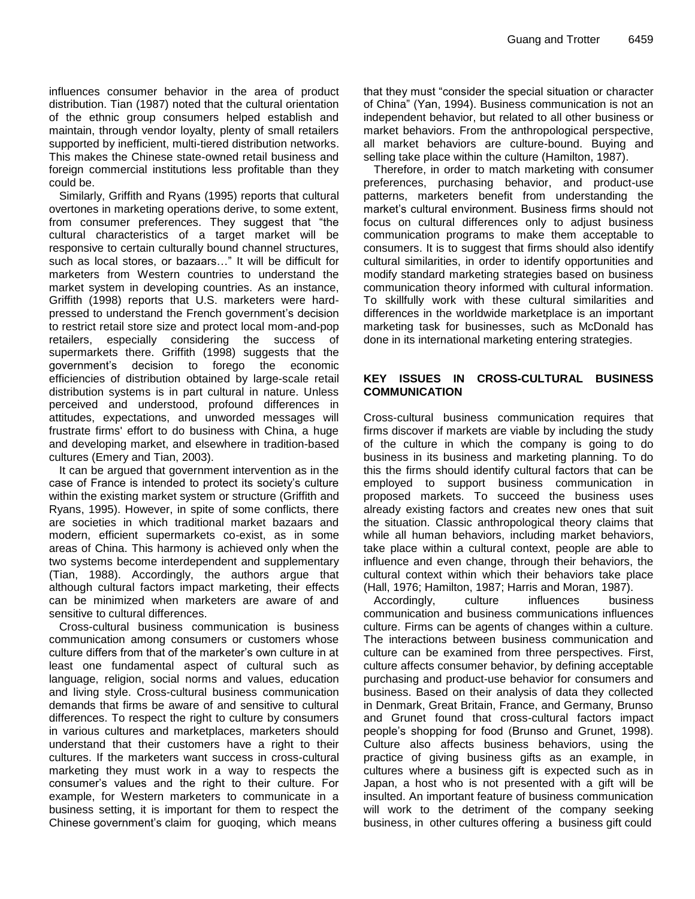influences consumer behavior in the area of product distribution. Tian (1987) noted that the cultural orientation of the ethnic group consumers helped establish and maintain, through vendor loyalty, plenty of small retailers supported by inefficient, multi-tiered distribution networks. This makes the Chinese state-owned retail business and foreign commercial institutions less profitable than they could be.

Similarly, Griffith and Ryans (1995) reports that cultural overtones in marketing operations derive, to some extent, from consumer preferences. They suggest that "the cultural characteristics of a target market will be responsive to certain culturally bound channel structures, such as local stores, or bazaars…" It will be difficult for marketers from Western countries to understand the market system in developing countries. As an instance, Griffith (1998) reports that U.S. marketers were hardpressed to understand the French government's decision to restrict retail store size and protect local mom-and-pop retailers, especially considering the success of supermarkets there. Griffith (1998) suggests that the government's decision to forego the economic efficiencies of distribution obtained by large-scale retail distribution systems is in part cultural in nature. Unless perceived and understood, profound differences in attitudes, expectations, and unworded messages will frustrate firms' effort to do business with China, a huge and developing market, and elsewhere in tradition-based cultures (Emery and Tian, 2003).

It can be argued that government intervention as in the case of France is intended to protect its society's culture within the existing market system or structure (Griffith and Ryans, 1995). However, in spite of some conflicts, there are societies in which traditional market bazaars and modern, efficient supermarkets co-exist, as in some areas of China. This harmony is achieved only when the two systems become interdependent and supplementary (Tian, 1988). Accordingly, the authors argue that although cultural factors impact marketing, their effects can be minimized when marketers are aware of and sensitive to cultural differences.

Cross-cultural business communication is business communication among consumers or customers whose culture differs from that of the marketer's own culture in at least one fundamental aspect of cultural such as language, religion, social norms and values, education and living style. Cross-cultural business communication demands that firms be aware of and sensitive to cultural differences. To respect the right to culture by consumers in various cultures and marketplaces, marketers should understand that their customers have a right to their cultures. If the marketers want success in cross-cultural marketing they must work in a way to respects the consumer's values and the right to their culture. For example, for Western marketers to communicate in a business setting, it is important for them to respect the Chinese government's claim for guoqing, which means

that they must "consider the special situation or character of China" (Yan, 1994). Business communication is not an independent behavior, but related to all other business or market behaviors. From the anthropological perspective, all market behaviors are culture-bound. Buying and selling take place within the culture (Hamilton, 1987).

Therefore, in order to match marketing with consumer preferences, purchasing behavior, and product-use patterns, marketers benefit from understanding the market's cultural environment. Business firms should not focus on cultural differences only to adjust business communication programs to make them acceptable to consumers. It is to suggest that firms should also identify cultural similarities, in order to identify opportunities and modify standard marketing strategies based on business communication theory informed with cultural information. To skillfully work with these cultural similarities and differences in the worldwide marketplace is an important marketing task for businesses, such as McDonald has done in its international marketing entering strategies.

#### **KEY ISSUES IN CROSS-CULTURAL BUSINESS COMMUNICATION**

Cross-cultural business communication requires that firms discover if markets are viable by including the study of the culture in which the company is going to do business in its business and marketing planning. To do this the firms should identify cultural factors that can be employed to support business communication in proposed markets. To succeed the business uses already existing factors and creates new ones that suit the situation. Classic anthropological theory claims that while all human behaviors, including market behaviors, take place within a cultural context, people are able to influence and even change, through their behaviors, the cultural context within which their behaviors take place (Hall, 1976; Hamilton, 1987; Harris and Moran, 1987).

Accordingly, culture influences business communication and business communications influences culture. Firms can be agents of changes within a culture. The interactions between business communication and culture can be examined from three perspectives. First, culture affects consumer behavior, by defining acceptable purchasing and product-use behavior for consumers and business. Based on their analysis of data they collected in Denmark, Great Britain, France, and Germany, Brunso and Grunet found that cross-cultural factors impact people's shopping for food (Brunso and Grunet, 1998). Culture also affects business behaviors, using the practice of giving business gifts as an example, in cultures where a business gift is expected such as in Japan, a host who is not presented with a gift will be insulted. An important feature of business communication will work to the detriment of the company seeking business, in other cultures offering a business gift could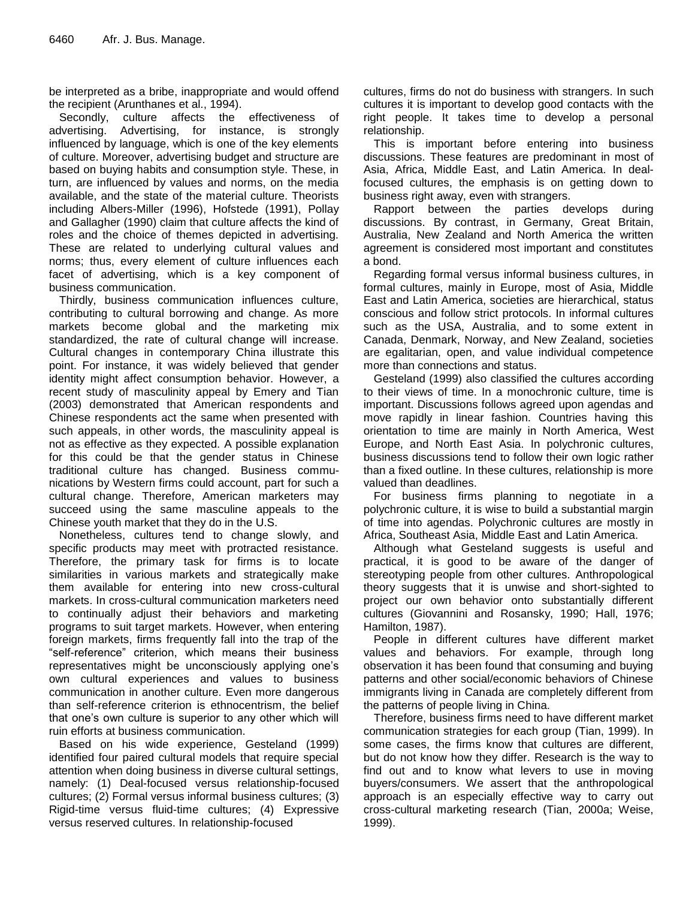be interpreted as a bribe, inappropriate and would offend the recipient (Arunthanes et al., 1994).

Secondly, culture affects the effectiveness of advertising. Advertising, for instance, is strongly influenced by language, which is one of the key elements of culture. Moreover, advertising budget and structure are based on buying habits and consumption style. These, in turn, are influenced by values and norms, on the media available, and the state of the material culture. Theorists including Albers-Miller (1996), Hofstede (1991), Pollay and Gallagher (1990) claim that culture affects the kind of roles and the choice of themes depicted in advertising. These are related to underlying cultural values and norms; thus, every element of culture influences each facet of advertising, which is a key component of business communication.

Thirdly, business communication influences culture, contributing to cultural borrowing and change. As more markets become global and the marketing mix standardized, the rate of cultural change will increase. Cultural changes in contemporary China illustrate this point. For instance, it was widely believed that gender identity might affect consumption behavior. However, a recent study of masculinity appeal by Emery and Tian (2003) demonstrated that American respondents and Chinese respondents act the same when presented with such appeals, in other words, the masculinity appeal is not as effective as they expected. A possible explanation for this could be that the gender status in Chinese traditional culture has changed. Business communications by Western firms could account, part for such a cultural change. Therefore, American marketers may succeed using the same masculine appeals to the Chinese youth market that they do in the U.S.

Nonetheless, cultures tend to change slowly, and specific products may meet with protracted resistance. Therefore, the primary task for firms is to locate similarities in various markets and strategically make them available for entering into new cross-cultural markets. In cross-cultural communication marketers need to continually adjust their behaviors and marketing programs to suit target markets. However, when entering foreign markets, firms frequently fall into the trap of the "self-reference" criterion, which means their business representatives might be unconsciously applying one's own cultural experiences and values to business communication in another culture. Even more dangerous than self-reference criterion is ethnocentrism, the belief that one's own culture is superior to any other which will ruin efforts at business communication.

Based on his wide experience, Gesteland (1999) identified four paired cultural models that require special attention when doing business in diverse cultural settings, namely: (1) Deal-focused versus relationship-focused cultures; (2) Formal versus informal business cultures; (3) Rigid-time versus fluid-time cultures; (4) Expressive versus reserved cultures. In relationship-focused

cultures, firms do not do business with strangers. In such cultures it is important to develop good contacts with the right people. It takes time to develop a personal relationship.

This is important before entering into business discussions. These features are predominant in most of Asia, Africa, Middle East, and Latin America. In dealfocused cultures, the emphasis is on getting down to business right away, even with strangers.

Rapport between the parties develops during discussions. By contrast, in Germany, Great Britain, Australia, New Zealand and North America the written agreement is considered most important and constitutes a bond.

Regarding formal versus informal business cultures, in formal cultures, mainly in Europe, most of Asia, Middle East and Latin America, societies are hierarchical, status conscious and follow strict protocols. In informal cultures such as the USA, Australia, and to some extent in Canada, Denmark, Norway, and New Zealand, societies are egalitarian, open, and value individual competence more than connections and status.

Gesteland (1999) also classified the cultures according to their views of time. In a monochronic culture, time is important. Discussions follows agreed upon agendas and move rapidly in linear fashion. Countries having this orientation to time are mainly in North America, West Europe, and North East Asia. In polychronic cultures, business discussions tend to follow their own logic rather than a fixed outline. In these cultures, relationship is more valued than deadlines.

For business firms planning to negotiate in a polychronic culture, it is wise to build a substantial margin of time into agendas. Polychronic cultures are mostly in Africa, Southeast Asia, Middle East and Latin America.

Although what Gesteland suggests is useful and practical, it is good to be aware of the danger of stereotyping people from other cultures. Anthropological theory suggests that it is unwise and short-sighted to project our own behavior onto substantially different cultures (Giovannini and Rosansky, 1990; Hall, 1976; Hamilton, 1987).

People in different cultures have different market values and behaviors. For example, through long observation it has been found that consuming and buying patterns and other social/economic behaviors of Chinese immigrants living in Canada are completely different from the patterns of people living in China.

Therefore, business firms need to have different market communication strategies for each group (Tian, 1999). In some cases, the firms know that cultures are different, but do not know how they differ. Research is the way to find out and to know what levers to use in moving buyers/consumers. We assert that the anthropological approach is an especially effective way to carry out cross-cultural marketing research (Tian, 2000a; Weise, 1999).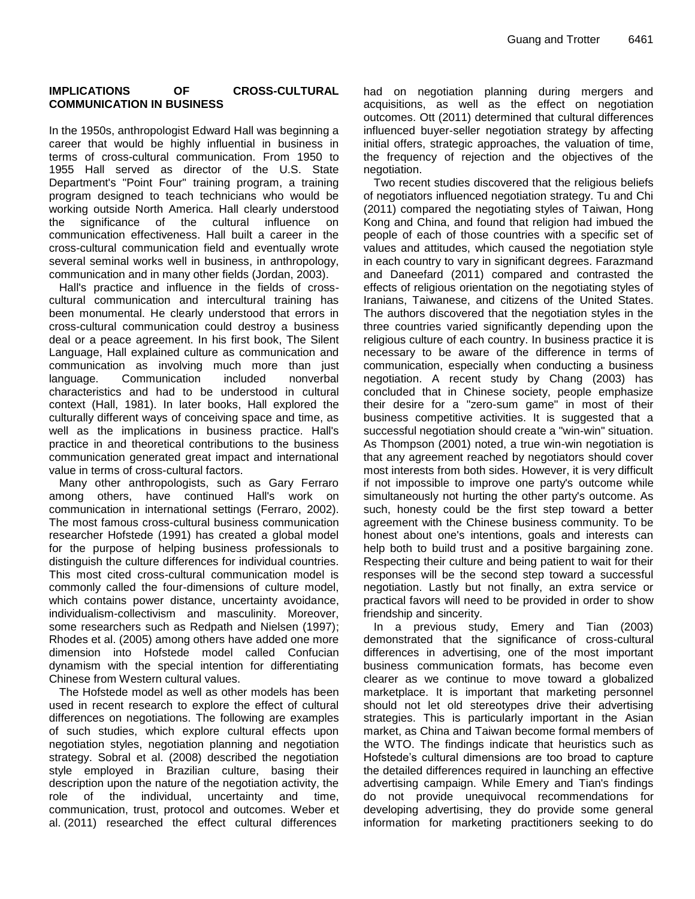#### **IMPLICATIONS OF CROSS-CULTURAL COMMUNICATION IN BUSINESS**

In the 1950s, anthropologist Edward Hall was beginning a career that would be highly influential in business in terms of cross-cultural communication. From 1950 to 1955 Hall served as director of the U.S. State Department's "Point Four" training program, a training program designed to teach technicians who would be working outside North America. Hall clearly understood the significance of the cultural influence on communication effectiveness. Hall built a career in the cross-cultural communication field and eventually wrote several seminal works well in business, in anthropology, communication and in many other fields (Jordan, 2003).

Hall's practice and influence in the fields of crosscultural communication and intercultural training has been monumental. He clearly understood that errors in cross-cultural communication could destroy a business deal or a peace agreement. In his first book, The Silent Language, Hall explained culture as communication and communication as involving much more than just language. Communication included nonverbal characteristics and had to be understood in cultural context (Hall, 1981). In later books, Hall explored the culturally different ways of conceiving space and time, as well as the implications in business practice. Hall's practice in and theoretical contributions to the business communication generated great impact and international value in terms of cross-cultural factors.

Many other anthropologists, such as Gary Ferraro among others, have continued Hall's work on communication in international settings (Ferraro, 2002). The most famous cross-cultural business communication researcher Hofstede (1991) has created a global model for the purpose of helping business professionals to distinguish the culture differences for individual countries. This most cited cross-cultural communication model is commonly called the four-dimensions of culture model, which contains power distance, uncertainty avoidance, individualism-collectivism and masculinity. Moreover, some researchers such as Redpath and Nielsen (1997); Rhodes et al. (2005) among others have added one more dimension into Hofstede model called Confucian dynamism with the special intention for differentiating Chinese from Western cultural values.

The Hofstede model as well as other models has been used in recent research to explore the effect of cultural differences on negotiations. The following are examples of such studies, which explore cultural effects upon negotiation styles, negotiation planning and negotiation strategy. Sobral et al. (2008) described the negotiation style employed in Brazilian culture, basing their description upon the nature of the negotiation activity, the role of the individual, uncertainty and time, communication, trust, protocol and outcomes. Weber et al. (2011) researched the effect cultural differences

had on negotiation planning during mergers and acquisitions, as well as the effect on negotiation outcomes. Ott (2011) determined that cultural differences influenced buyer-seller negotiation strategy by affecting initial offers, strategic approaches, the valuation of time, the frequency of rejection and the objectives of the negotiation.

Two recent studies discovered that the religious beliefs of negotiators influenced negotiation strategy. Tu and Chi (2011) compared the negotiating styles of Taiwan, Hong Kong and China, and found that religion had imbued the people of each of those countries with a specific set of values and attitudes, which caused the negotiation style in each country to vary in significant degrees. Farazmand and Daneefard (2011) compared and contrasted the effects of religious orientation on the negotiating styles of Iranians, Taiwanese, and citizens of the United States. The authors discovered that the negotiation styles in the three countries varied significantly depending upon the religious culture of each country. In business practice it is necessary to be aware of the difference in terms of communication, especially when conducting a business negotiation. A recent study by Chang (2003) has concluded that in Chinese society, people emphasize their desire for a "zero-sum game" in most of their business competitive activities. It is suggested that a successful negotiation should create a "win-win" situation. As Thompson (2001) noted, a true win-win negotiation is that any agreement reached by negotiators should cover most interests from both sides. However, it is very difficult if not impossible to improve one party's outcome while simultaneously not hurting the other party's outcome. As such, honesty could be the first step toward a better agreement with the Chinese business community. To be honest about one's intentions, goals and interests can help both to build trust and a positive bargaining zone. Respecting their culture and being patient to wait for their responses will be the second step toward a successful negotiation. Lastly but not finally, an extra service or practical favors will need to be provided in order to show friendship and sincerity.

In a previous study, Emery and Tian (2003) demonstrated that the significance of cross-cultural differences in advertising, one of the most important business communication formats, has become even clearer as we continue to move toward a globalized marketplace. It is important that marketing personnel should not let old stereotypes drive their advertising strategies. This is particularly important in the Asian market, as China and Taiwan become formal members of the WTO. The findings indicate that heuristics such as Hofstede's cultural dimensions are too broad to capture the detailed differences required in launching an effective advertising campaign. While Emery and Tian's findings do not provide unequivocal recommendations for developing advertising, they do provide some general information for marketing practitioners seeking to do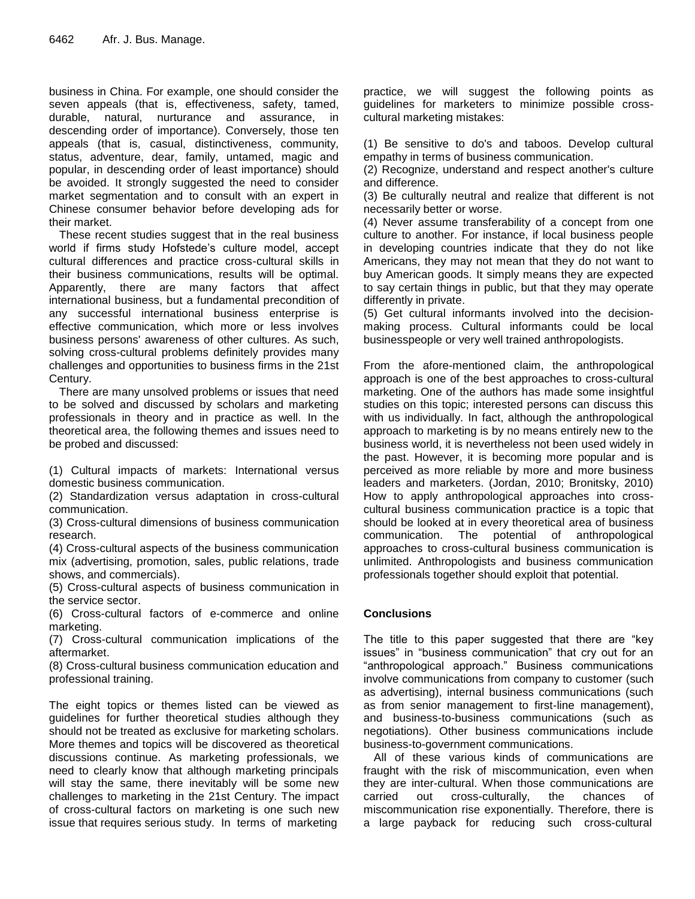business in China. For example, one should consider the seven appeals (that is, effectiveness, safety, tamed, durable, natural, nurturance and assurance, in descending order of importance). Conversely, those ten appeals (that is, casual, distinctiveness, community, status, adventure, dear, family, untamed, magic and popular, in descending order of least importance) should be avoided. It strongly suggested the need to consider market segmentation and to consult with an expert in Chinese consumer behavior before developing ads for their market.

These recent studies suggest that in the real business world if firms study Hofstede's culture model, accept cultural differences and practice cross-cultural skills in their business communications, results will be optimal. Apparently, there are many factors that affect international business, but a fundamental precondition of any successful international business enterprise is effective communication, which more or less involves business persons' awareness of other cultures. As such, solving cross-cultural problems definitely provides many challenges and opportunities to business firms in the 21st Century.

There are many unsolved problems or issues that need to be solved and discussed by scholars and marketing professionals in theory and in practice as well. In the theoretical area, the following themes and issues need to be probed and discussed:

(1) Cultural impacts of markets: International versus domestic business communication.

(2) Standardization versus adaptation in cross-cultural communication.

(3) Cross-cultural dimensions of business communication research.

(4) Cross-cultural aspects of the business communication mix (advertising, promotion, sales, public relations, trade shows, and commercials).

(5) Cross-cultural aspects of business communication in the service sector.

(6) Cross-cultural factors of e-commerce and online marketing.

(7) Cross-cultural communication implications of the aftermarket.

(8) Cross-cultural business communication education and professional training.

The eight topics or themes listed can be viewed as guidelines for further theoretical studies although they should not be treated as exclusive for marketing scholars. More themes and topics will be discovered as theoretical discussions continue. As marketing professionals, we need to clearly know that although marketing principals will stay the same, there inevitably will be some new challenges to marketing in the 21st Century. The impact of cross-cultural factors on marketing is one such new issue that requires serious study. In terms of marketing

practice, we will suggest the following points as guidelines for marketers to minimize possible crosscultural marketing mistakes:

(1) Be sensitive to do's and taboos. Develop cultural empathy in terms of business communication.

(2) Recognize, understand and respect another's culture and difference.

(3) Be culturally neutral and realize that different is not necessarily better or worse.

(4) Never assume transferability of a concept from one culture to another. For instance, if local business people in developing countries indicate that they do not like Americans, they may not mean that they do not want to buy American goods. It simply means they are expected to say certain things in public, but that they may operate differently in private.

(5) Get cultural informants involved into the decisionmaking process. Cultural informants could be local businesspeople or very well trained anthropologists.

From the afore-mentioned claim, the anthropological approach is one of the best approaches to cross-cultural marketing. One of the authors has made some insightful studies on this topic; interested persons can discuss this with us individually. In fact, although the anthropological approach to marketing is by no means entirely new to the business world, it is nevertheless not been used widely in the past. However, it is becoming more popular and is perceived as more reliable by more and more business leaders and marketers. (Jordan, 2010; Bronitsky, 2010) How to apply anthropological approaches into crosscultural business communication practice is a topic that should be looked at in every theoretical area of business communication. The potential of anthropological approaches to cross-cultural business communication is unlimited. Anthropologists and business communication professionals together should exploit that potential.

#### **Conclusions**

The title to this paper suggested that there are "key issues" in "business communication" that cry out for an "anthropological approach." Business communications involve communications from company to customer (such as advertising), internal business communications (such as from senior management to first-line management), and business-to-business communications (such as negotiations). Other business communications include business-to-government communications.

All of these various kinds of communications are fraught with the risk of miscommunication, even when they are inter-cultural. When those communications are carried out cross-culturally, the chances of miscommunication rise exponentially. Therefore, there is a large payback for reducing such cross-cultural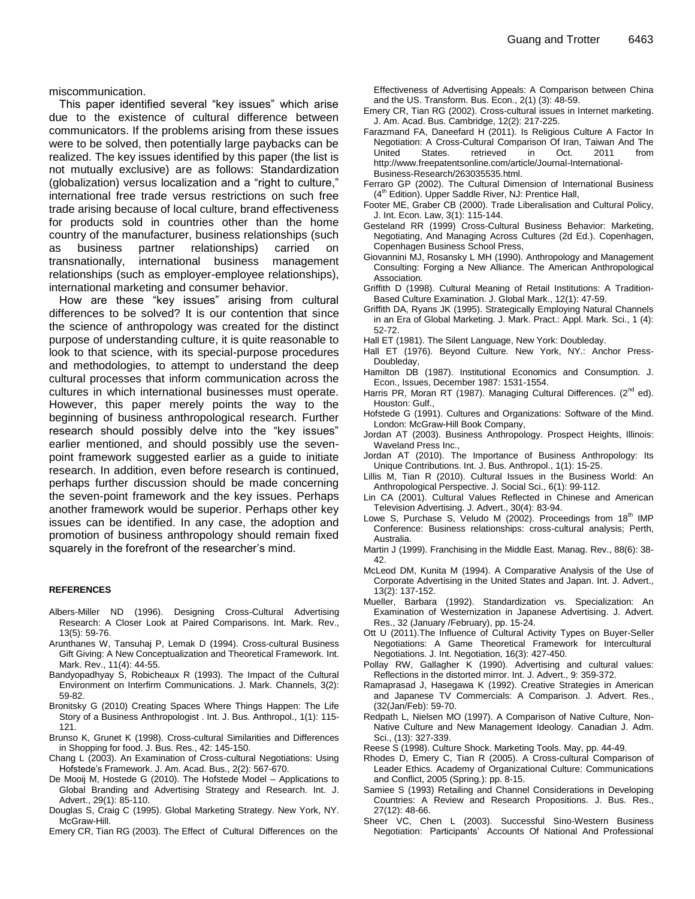miscommunication.

This paper identified several "key issues" which arise due to the existence of cultural difference between communicators. If the problems arising from these issues were to be solved, then potentially large paybacks can be realized. The key issues identified by this paper (the list is not mutually exclusive) are as follows: Standardization (globalization) versus localization and a "right to culture," international free trade versus restrictions on such free trade arising because of local culture, brand effectiveness for products sold in countries other than the home country of the manufacturer, business relationships (such as business partner relationships) carried on transnationally, international business management relationships (such as employer-employee relationships), international marketing and consumer behavior.

How are these "key issues" arising from cultural differences to be solved? It is our contention that since the science of anthropology was created for the distinct purpose of understanding culture, it is quite reasonable to look to that science, with its special-purpose procedures and methodologies, to attempt to understand the deep cultural processes that inform communication across the cultures in which international businesses must operate. However, this paper merely points the way to the beginning of business anthropological research. Further research should possibly delve into the "key issues" earlier mentioned, and should possibly use the sevenpoint framework suggested earlier as a guide to initiate research. In addition, even before research is continued, perhaps further discussion should be made concerning the seven-point framework and the key issues. Perhaps another framework would be superior. Perhaps other key issues can be identified. In any case, the adoption and promotion of business anthropology should remain fixed squarely in the forefront of the researcher's mind.

#### **REFERENCES**

- Albers-Miller ND (1996). Designing Cross-Cultural Advertising Research: A Closer Look at Paired Comparisons. Int. Mark. Rev., 13(5): 59-76.
- Arunthanes W, Tansuhaj P, Lemak D (1994). Cross-cultural Business Gift Giving: A New Conceptualization and Theoretical Framework. Int. Mark. Rev., 11(4): 44-55.
- Bandyopadhyay S, Robicheaux R (1993). The Impact of the Cultural Environment on Interfirm Communications. J. Mark. Channels, 3(2): 59-82.
- Bronitsky G (2010) Creating Spaces Where Things Happen: The Life Story of a Business Anthropologist . Int. J. Bus. Anthropol., 1(1): 115- 121.
- Brunso K, Grunet K (1998). Cross-cultural Similarities and Differences in Shopping for food. J. Bus. Res., 42: 145-150.
- Chang L (2003). An Examination of Cross-cultural Negotiations: Using Hofstede's Framework. J. Am. Acad. Bus., 2(2): 567-670.
- De Mooij M, Hostede G (2010). The Hofstede Model Applications to Global Branding and Advertising Strategy and Research. Int. J. Advert., 29(1): 85-110.
- Douglas S, Craig C (1995). Global Marketing Strategy. New York, NY. McGraw-Hill.

Emery CR, Tian RG (2003). The Effect of Cultural Differences on the

Effectiveness of Advertising Appeals: A Comparison between China and the US. Transform. Bus. Econ., 2(1) (3): 48-59.

- Emery CR, Tian RG (2002). Cross-cultural issues in Internet marketing. J. Am. Acad. Bus. Cambridge, 12(2): 217-225.
- Farazmand FA, Daneefard H (2011). Is Religious Culture A Factor In Negotiation: A Cross-Cultural Comparison Of Iran, Taiwan And The United States. retrieved in Oct. 2011 from http://www.freepatentsonline.com/article/Journal-International-Business-Research/263035535.html.
- Ferraro GP (2002). The Cultural Dimension of International Business (4<sup>th</sup> Edition). Upper Saddle River, NJ: Prentice Hall,
- Footer ME, Graber CB (2000). Trade Liberalisation and Cultural Policy, J. Int. Econ. Law, 3(1): 115-144.
- Gesteland RR (1999) Cross-Cultural Business Behavior: Marketing, Negotiating, And Managing Across Cultures (2d Ed.). Copenhagen, Copenhagen Business School Press,
- Giovannini MJ, Rosansky L MH (1990). Anthropology and Management Consulting: Forging a New Alliance. The American Anthropological Association.
- Griffith D (1998). Cultural Meaning of Retail Institutions: A Tradition-Based Culture Examination. J. Global Mark., 12(1): 47-59.
- Griffith DA, Ryans JK (1995). Strategically Employing Natural Channels in an Era of Global Marketing. J. Mark. Pract.: Appl. Mark. Sci., 1 (4): 52-72.
- Hall ET (1981). The Silent Language, New York: Doubleday.
- Hall ET (1976). Beyond Culture. New York, NY.: Anchor Press-Doubleday,
- Hamilton DB (1987). Institutional Economics and Consumption. J. Econ., Issues, December 1987: 1531-1554.
- Harris PR, Moran RT (1987). Managing Cultural Differences. (2<sup>nd</sup> ed). Houston: Gulf.,
- Hofstede G (1991). Cultures and Organizations: Software of the Mind. London: McGraw-Hill Book Company,
- Jordan AT (2003). Business Anthropology. Prospect Heights, Illinois: Waveland Press Inc.,
- Jordan AT (2010). The Importance of Business Anthropology: Its Unique Contributions. Int. J. Bus. Anthropol., 1(1): 15-25.
- Lillis M, Tian R (2010). Cultural Issues in the Business World: An Anthropological Perspective. J. Social Sci., 6(1): 99-112.
- Lin CA (2001). Cultural Values Reflected in Chinese and American Television Advertising. J. Advert., 30(4): 83-94.
- Lowe S, Purchase S, Veludo M (2002). Proceedings from 18<sup>th</sup> IMP Conference: Business relationships: cross-cultural analysis; Perth, Australia.
- Martin J (1999). Franchising in the Middle East. Manag. Rev., 88(6): 38- 42.
- McLeod DM, Kunita M (1994). A Comparative Analysis of the Use of Corporate Advertising in the United States and Japan. Int. J. Advert., 13(2): 137-152.
- Mueller, Barbara (1992). Standardization vs. Specialization: An Examination of Westernization in Japanese Advertising. J. Advert. Res., 32 (January /February), pp. 15-24.
- Ott U (2011).The Influence of Cultural Activity Types on Buyer-Seller Negotiations: A Game Theoretical Framework for Intercultural Negotiations. J. Int. Negotiation, 16(3): 427-450.
- Pollay RW, Gallagher K (1990). Advertising and cultural values: Reflections in the distorted mirror. Int. J. Advert., 9: 359-372.
- Ramaprasad J, Hasegawa K (1992). Creative Strategies in American and Japanese TV Commercials: A Comparison. J. Advert. Res., (32(Jan/Feb): 59-70.
- Redpath L, Nielsen MO (1997). A Comparison of Native Culture, Non-Native Culture and New Management Ideology. Canadian J. Adm. Sci., (13): 327-339.
- Reese S (1998). Culture Shock. Marketing Tools. May, pp. 44-49.
- Rhodes D, Emery C, Tian R (2005). A Cross-cultural Comparison of Leader Ethics. Academy of Organizational Culture: Communications and Conflict, 2005 (Spring.): pp. 8-15.
- Samiee S (1993) Retailing and Channel Considerations in Developing Countries: A Review and Research Propositions. J. Bus. Res., 27(12): 48-66.
- Sheer VC, Chen L (2003). Successful Sino-Western Business Negotiation: Participants' Accounts Of National And Professional